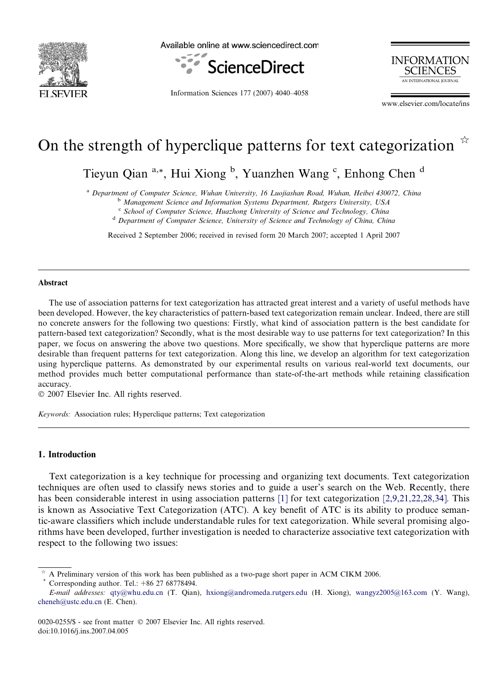

Available online at www.sciencedirect.com



Information Sciences 177 (2007) 4040–4058

**INFORMATION SCIENCES** AN INTERNATIONAL JOURNAL

www.elsevier.com/locate/ins

# On the strength of hyperclique patterns for text categorization  $\mathbb{R}$

Tieyun Qian <sup>a,\*</sup>, Hui Xiong <sup>b</sup>, Yuanzhen Wang <sup>c</sup>, Enhong Chen <sup>d</sup>

<sup>a</sup> Department of Computer Science, Wuhan University, 16 Luojiashan Road, Wuhan, Heibei 430072, China

<sup>b</sup> Management Science and Information Systems Department, Rutgers University, USA

 $c$  School of Computer Science, Huazhong University of Science and Technology, China

<sup>d</sup> Department of Computer Science, University of Science and Technology of China, China

Received 2 September 2006; received in revised form 20 March 2007; accepted 1 April 2007

#### Abstract

The use of association patterns for text categorization has attracted great interest and a variety of useful methods have been developed. However, the key characteristics of pattern-based text categorization remain unclear. Indeed, there are still no concrete answers for the following two questions: Firstly, what kind of association pattern is the best candidate for pattern-based text categorization? Secondly, what is the most desirable way to use patterns for text categorization? In this paper, we focus on answering the above two questions. More specifically, we show that hyperclique patterns are more desirable than frequent patterns for text categorization. Along this line, we develop an algorithm for text categorization using hyperclique patterns. As demonstrated by our experimental results on various real-world text documents, our method provides much better computational performance than state-of-the-art methods while retaining classification accuracy.

© 2007 Elsevier Inc. All rights reserved.

Keywords: Association rules; Hyperclique patterns; Text categorization

## 1. Introduction

Text categorization is a key technique for processing and organizing text documents. Text categorization techniques are often used to classify news stories and to guide a user's search on the Web. Recently, there has been considerable interest in using association patterns [\[1\]](#page-17-0) for text categorization [\[2,9,21,22,28,34\].](#page-17-0) This is known as Associative Text Categorization (ATC). A key benefit of ATC is its ability to produce semantic-aware classifiers which include understandable rules for text categorization. While several promising algorithms have been developed, further investigation is needed to characterize associative text categorization with respect to the following two issues:

A Preliminary version of this work has been published as a two-page short paper in ACM CIKM 2006. Corresponding author. Tel.: +86 27 68778494.

E-mail addresses: [qty@whu.edu.cn](mailto:qty@whu.edu.cn) (T. Qian), [hxiong@andromeda.rutgers.edu](mailto:hxiong@andromeda.rutgers.edu) (H. Xiong), [wangyz2005@163.com](mailto:wangyz2005@163.com) (Y. Wang), [cheneh@ustc.edu.cn](mailto:cheneh@ustc.edu.cn) (E. Chen).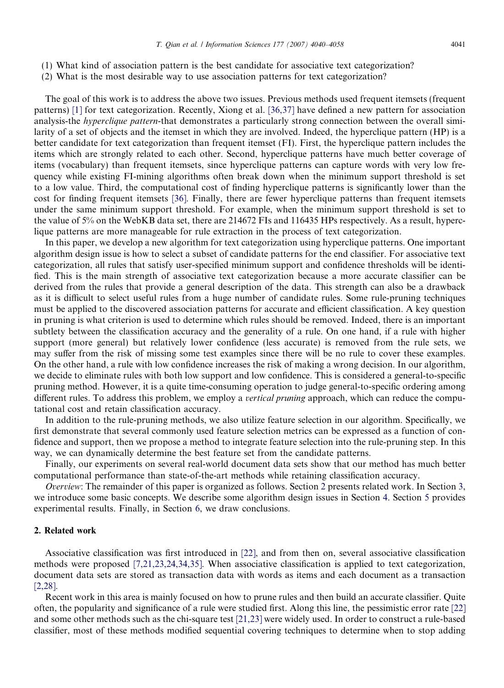- (1) What kind of association pattern is the best candidate for associative text categorization?
- (2) What is the most desirable way to use association patterns for text categorization?

The goal of this work is to address the above two issues. Previous methods used frequent itemsets (frequent patterns) [\[1\]](#page-17-0) for text categorization. Recently, Xiong et al. [\[36,37\]](#page-18-0) have defined a new pattern for association analysis-the hyperclique pattern-that demonstrates a particularly strong connection between the overall similarity of a set of objects and the itemset in which they are involved. Indeed, the hyperclique pattern (HP) is a better candidate for text categorization than frequent itemset (FI). First, the hyperclique pattern includes the items which are strongly related to each other. Second, hyperclique patterns have much better coverage of items (vocabulary) than frequent itemsets, since hyperclique patterns can capture words with very low frequency while existing FI-mining algorithms often break down when the minimum support threshold is set to a low value. Third, the computational cost of finding hyperclique patterns is significantly lower than the cost for finding frequent itemsets [\[36\]](#page-18-0). Finally, there are fewer hyperclique patterns than frequent itemsets under the same minimum support threshold. For example, when the minimum support threshold is set to the value of 5% on the WebKB data set, there are 214672 FIs and 116435 HPs respectively. As a result, hyperclique patterns are more manageable for rule extraction in the process of text categorization.

In this paper, we develop a new algorithm for text categorization using hyperclique patterns. One important algorithm design issue is how to select a subset of candidate patterns for the end classifier. For associative text categorization, all rules that satisfy user-specified minimum support and confidence thresholds will be identified. This is the main strength of associative text categorization because a more accurate classifier can be derived from the rules that provide a general description of the data. This strength can also be a drawback as it is difficult to select useful rules from a huge number of candidate rules. Some rule-pruning techniques must be applied to the discovered association patterns for accurate and efficient classification. A key question in pruning is what criterion is used to determine which rules should be removed. Indeed, there is an important subtlety between the classification accuracy and the generality of a rule. On one hand, if a rule with higher support (more general) but relatively lower confidence (less accurate) is removed from the rule sets, we may suffer from the risk of missing some test examples since there will be no rule to cover these examples. On the other hand, a rule with low confidence increases the risk of making a wrong decision. In our algorithm, we decide to eliminate rules with both low support and low confidence. This is considered a general-to-specific pruning method. However, it is a quite time-consuming operation to judge general-to-specific ordering among different rules. To address this problem, we employ a *vertical pruning* approach, which can reduce the computational cost and retain classification accuracy.

In addition to the rule-pruning methods, we also utilize feature selection in our algorithm. Specifically, we first demonstrate that several commonly used feature selection metrics can be expressed as a function of confidence and support, then we propose a method to integrate feature selection into the rule-pruning step. In this way, we can dynamically determine the best feature set from the candidate patterns.

Finally, our experiments on several real-world document data sets show that our method has much better computational performance than state-of-the-art methods while retaining classification accuracy.

Overview: The remainder of this paper is organized as follows. Section 2 presents related work. In Section [3](#page-2-0), we introduce some basic concepts. We describe some algorithm design issues in Section [4.](#page-4-0) Section [5](#page-9-0) provides experimental results. Finally, in Section [6,](#page-17-0) we draw conclusions.

# 2. Related work

Associative classification was first introduced in [\[22\]](#page-18-0), and from then on, several associative classification methods were proposed [\[7,21,23,24,34,35\]](#page-18-0). When associative classification is applied to text categorization, document data sets are stored as transaction data with words as items and each document as a transaction [\[2,28\].](#page-17-0)

Recent work in this area is mainly focused on how to prune rules and then build an accurate classifier. Quite often, the popularity and significance of a rule were studied first. Along this line, the pessimistic error rate [\[22\]](#page-18-0) and some other methods such as the chi-square test [\[21,23\]](#page-18-0) were widely used. In order to construct a rule-based classifier, most of these methods modified sequential covering techniques to determine when to stop adding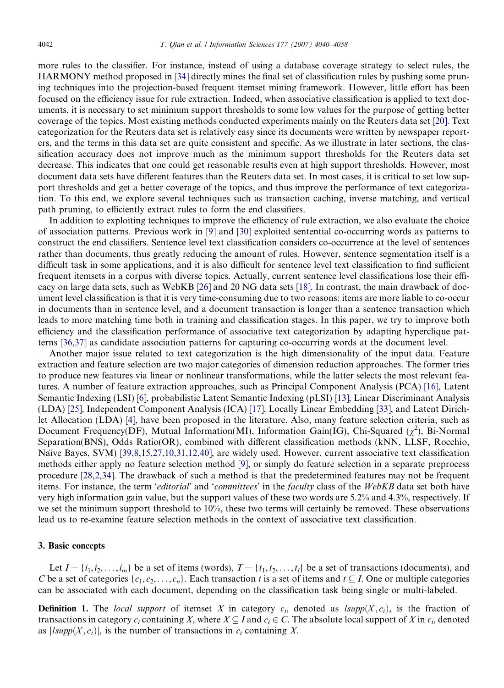<span id="page-2-0"></span>more rules to the classifier. For instance, instead of using a database coverage strategy to select rules, the HARMONY method proposed in [\[34\]](#page-18-0) directly mines the final set of classification rules by pushing some pruning techniques into the projection-based frequent itemset mining framework. However, little effort has been focused on the efficiency issue for rule extraction. Indeed, when associative classification is applied to text documents, it is necessary to set minimum support thresholds to some low values for the purpose of getting better coverage of the topics. Most existing methods conducted experiments mainly on the Reuters data set [\[20\]](#page-18-0). Text categorization for the Reuters data set is relatively easy since its documents were written by newspaper reporters, and the terms in this data set are quite consistent and specific. As we illustrate in later sections, the classification accuracy does not improve much as the minimum support thresholds for the Reuters data set decrease. This indicates that one could get reasonable results even at high support thresholds. However, most document data sets have different features than the Reuters data set. In most cases, it is critical to set low support thresholds and get a better coverage of the topics, and thus improve the performance of text categorization. To this end, we explore several techniques such as transaction caching, inverse matching, and vertical path pruning, to efficiently extract rules to form the end classifiers.

In addition to exploiting techniques to improve the efficiency of rule extraction, we also evaluate the choice of association patterns. Previous work in [\[9\]](#page-18-0) and [\[30\]](#page-18-0) exploited sentential co-occurring words as patterns to construct the end classifiers. Sentence level text classification considers co-occurrence at the level of sentences rather than documents, thus greatly reducing the amount of rules. However, sentence segmentation itself is a difficult task in some applications, and it is also difficult for sentence level text classification to find sufficient frequent itemsets in a corpus with diverse topics. Actually, current sentence level classifications lose their efficacy on large data sets, such as WebKB [\[26\]](#page-18-0) and 20 NG data sets [\[18\].](#page-18-0) In contrast, the main drawback of document level classification is that it is very time-consuming due to two reasons: items are more liable to co-occur in documents than in sentence level, and a document transaction is longer than a sentence transaction which leads to more matching time both in training and classification stages. In this paper, we try to improve both efficiency and the classification performance of associative text categorization by adapting hyperclique patterns [\[36,37\]](#page-18-0) as candidate association patterns for capturing co-occurring words at the document level.

Another major issue related to text categorization is the high dimensionality of the input data. Feature extraction and feature selection are two major categories of dimension reduction approaches. The former tries to produce new features via linear or nonlinear transformations, while the latter selects the most relevant features. A number of feature extraction approaches, such as Principal Component Analysis (PCA) [\[16\],](#page-18-0) Latent Semantic Indexing (LSI) [\[6\]](#page-17-0), probabilistic Latent Semantic Indexing (pLSI) [\[13\]](#page-18-0), Linear Discriminant Analysis (LDA) [\[25\]](#page-18-0), Independent Component Analysis (ICA) [\[17\],](#page-18-0) Locally Linear Embedding [\[33\]](#page-18-0), and Latent Dirichlet Allocation (LDA) [\[4\]](#page-17-0), have been proposed in the literature. Also, many feature selection criteria, such as Document Frequency(DF), Mutual Information(MI), Information Gain(IG), Chi-Squared ( $\chi^2$ ), Bi-Normal Separation(BNS), Odds Ratio(OR), combined with different classification methods (kNN, LLSF, Rocchio, Naı̈ve Bayes, SVM) [\[39,8,15,27,10,31,12,40\],](#page-18-0) are widely used. However, current associative text classification methods either apply no feature selection method [\[9\],](#page-18-0) or simply do feature selection in a separate preprocess procedure [\[28,2,34\].](#page-18-0) The drawback of such a method is that the predetermined features may not be frequent items. For instance, the term *'editorial'* and '*committees'* in the *faculty* class of the *WebKB* data set both have very high information gain value, but the support values of these two words are 5.2% and 4.3%, respectively. If we set the minimum support threshold to 10%, these two terms will certainly be removed. These observations lead us to re-examine feature selection methods in the context of associative text classification.

## 3. Basic concepts

Let  $I = \{i_1, i_2, \ldots, i_m\}$  be a set of items (words),  $T = \{t_1, t_2, \ldots, t_l\}$  be a set of transactions (documents), and C be a set of categories  $\{c_1, c_2, \ldots, c_n\}$ . Each transaction t is a set of items and  $t \subseteq I$ . One or multiple categories can be associated with each document, depending on the classification task being single or multi-labeled.

**Definition 1.** The local support of itemset X in category  $c_i$ , denoted as  $lsupp(X, c_i)$ , is the fraction of transactions in category  $c_i$  containing X, where  $X \subseteq I$  and  $c_i \in C$ . The absolute local support of X in  $c_i$ , denoted as  $|Isupp(X, c_i)|$ , is the number of transactions in  $c_i$  containing X.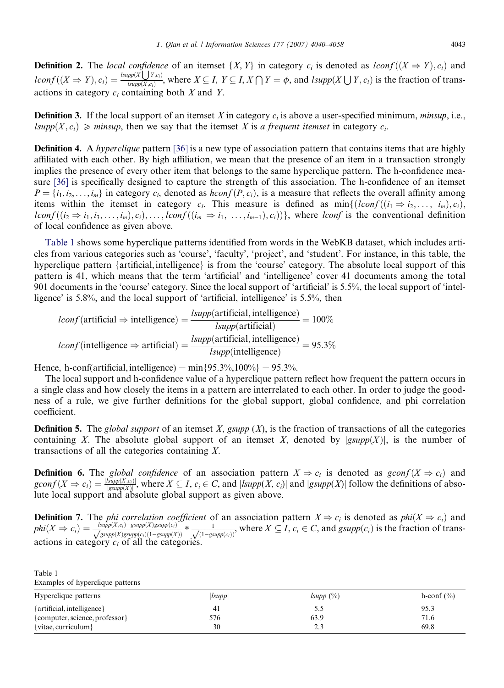<span id="page-3-0"></span>**Definition 2.** The local confidence of an itemset  $\{X, Y\}$  in category  $c_i$  is denoted as lconf  $((X \Rightarrow Y), c_i)$  and **Definition 2.** The *local conflitence*<br> $lconf((X \Rightarrow Y), c_i) = \frac{lsupp(X \cup Y, c_i)}{lsum(X, c_i)}$  $\frac{L(p[X] \setminus Y,c_i)}{L(p[p(X,c_i))},$  where  $X \subseteq I$ ,  $Y \subseteq I$ ,  $X \cap Y = \phi$ , and  $L(p[X] \cup Y,c_i)$  is the fraction of transactions in category  $c_i$  containing both  $X$  and  $Y$ .

**Definition 3.** If the local support of an itemset X in category  $c_i$  is above a user-specified minimum, minsup, i.e.,  $lsupp(X, c_i) \geq minsup$ , then we say that the itemset X is a frequent itemset in category  $c_i$ .

**Definition 4.** A *hyperclique* pattern [\[36\]](#page-18-0) is a new type of association pattern that contains items that are highly affiliated with each other. By high affiliation, we mean that the presence of an item in a transaction strongly implies the presence of every other item that belongs to the same hyperclique pattern. The h-confidence measure [\[36\]](#page-18-0) is specifically designed to capture the strength of this association. The h-confidence of an itemset  $P = \{i_1, i_2, \ldots, i_m\}$  in category  $c_i$ , denoted as  $hconf(P, c_i)$ , is a measure that reflects the overall affinity among items within the itemset in category  $c_i$ . This measure is defined as  $\min\{(lconf((i_1 \Rightarrow i_2, \ldots, i_m), c_i),$  $lconf((i_2 \Rightarrow i_1, i_3, \ldots, i_m), c_i), \ldots, lconf((i_m \Rightarrow i_1, \ldots, i_{m-1}), c_i))\}$ , where lconf is the conventional definition of local confidence as given above.

Table 1 shows some hyperclique patterns identified from words in the WebKB dataset, which includes articles from various categories such as 'course', 'faculty', 'project', and 'student'. For instance, in this table, the hyperclique pattern {artificial,intelligence} is from the 'course' category. The absolute local support of this pattern is 41, which means that the term 'artificial' and 'intelligence' cover 41 documents among the total 901 documents in the 'course' category. Since the local support of 'artificial' is 5.5%, the local support of 'intelligence' is 5.8%, and the local support of 'artificial, intelligence' is 5.5%, then

$$
lconf(\text{artificial} \Rightarrow \text{intelligence}) = \frac{lsupp(\text{artificial}, \text{intelligence})}{lsupp(\text{artificial})} = 100\%
$$
\n
$$
lconf(\text{intelligence} \Rightarrow \text{artificial}) = \frac{lsupp(\text{artificial}, \text{intelligence})}{lsupp(\text{intelligence})} = 95.3\%
$$

Hence, h-conf(artificial, intelligence)  $=$  min ${95.3\%},100\%$   $= 95.3\%$ .

The local support and h-confidence value of a hyperclique pattern reflect how frequent the pattern occurs in a single class and how closely the items in a pattern are interrelated to each other. In order to judge the goodness of a rule, we give further definitions for the global support, global confidence, and phi correlation coefficient.

**Definition 5.** The global support of an itemset X, gsupp  $(X)$ , is the fraction of transactions of all the categories containing X. The absolute global support of an itemset X, denoted by  $|g\sup p(X)|$ , is the number of transactions of all the categories containing X.

**Definition 6.** The global confidence of an association pattern  $X \Rightarrow c_i$  is denoted as  $gconf(X \Rightarrow c_i)$  and  $gconf(X \Rightarrow c_i) = \frac{|supp(X, c_i)|}{|gsupp(X)|}$ , where  $X \subseteq I$ ,  $c_i \in C$ , and  $|supp(X, c_i)|$  and  $|gsupp(X)|$  follow the definitions of absolute local support and absolute global support as given above.

**Definition 7.** The *phi correlation coefficient* of an association pattern  $X \Rightarrow c_i$  is denoted as  $phi(X \Rightarrow c_i)$  and  $\text{phi}(X \Rightarrow c_i) = \frac{\text{Isupp}(X,c_i) - \text{gsupp}(X) \text{gsup}(c_i)}{\sqrt{\text{gsupp}(X)\text{gsupp}(c_i)(1 - \text{gsupp}(X))}} * \frac{1}{\sqrt{(1 - \text{gsupp}(c_i))}},$  where  $X \subseteq I$ ,  $c_i \in C$ , and  $\text{gsupp}(c_i)$  is the fraction of transactions in category  $c_i$  of all the categories.

| raviv r |                                  |
|---------|----------------------------------|
|         | Examples of hyperclique patterns |

Table 1

| Hyperclique patterns           | lsupp | $lsupp(\%)$ | h-conf $(\% )$ |
|--------------------------------|-------|-------------|----------------|
| $\{artificial, intelligence\}$ | 41    | כ.כ         | 95.3           |
| {computer, science, professor} | 576   | 63.9        | 71.6           |
| $\{vitae, curriculum\}$        | 30    | ت ک         | 69.8           |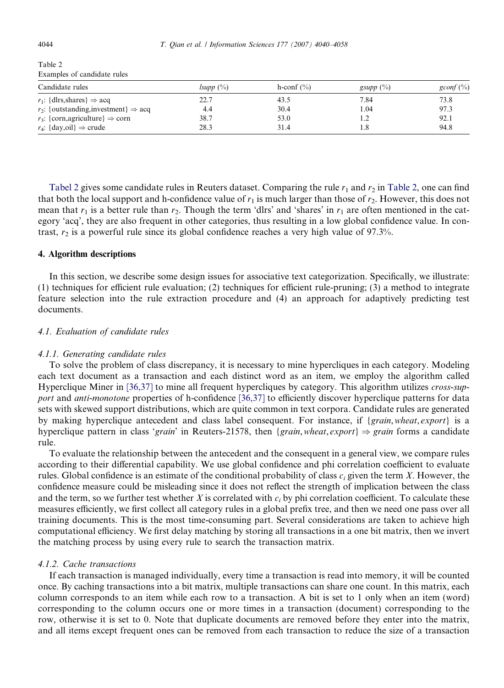<span id="page-4-0"></span>

| Table 2                     |                |
|-----------------------------|----------------|
| Examples of candidate rules |                |
| Candidate rules             | <i>lsupp</i> ( |

| Candidate rules                                     | $lsupp(\%)$ | h-conf $(\% )$ | gsupp $(\%)$ | $gconf (\% )$ |
|-----------------------------------------------------|-------------|----------------|--------------|---------------|
| $r_1$ : {dlrs, shares} $\Rightarrow$ acq            | 22.7        | 43.5           | 7.84         | 73.8          |
| $r_2$ : {outstanding, investment} $\Rightarrow$ acq | 4.4         | 30.4           | 1.04         | 97.3          |
| $r_3$ : {corn,agriculture} $\Rightarrow$ corn       | 38.7        | 53.0           |              | 92.1          |
| $r_4$ : {day,oil} $\Rightarrow$ crude               | 28.3        | 31.4           |              | 94.8          |

Tabel 2 gives some candidate rules in Reuters dataset. Comparing the rule  $r_1$  and  $r_2$  in Table 2, one can find that both the local support and h-confidence value of  $r_1$  is much larger than those of  $r_2$ . However, this does not mean that  $r_1$  is a better rule than  $r_2$ . Though the term 'dlrs' and 'shares' in  $r_1$  are often mentioned in the category 'acq', they are also frequent in other categories, thus resulting in a low global confidence value. In contrast,  $r_2$  is a powerful rule since its global confidence reaches a very high value of 97.3%.

## 4. Algorithm descriptions

In this section, we describe some design issues for associative text categorization. Specifically, we illustrate: (1) techniques for efficient rule evaluation; (2) techniques for efficient rule-pruning; (3) a method to integrate feature selection into the rule extraction procedure and (4) an approach for adaptively predicting test documents.

## 4.1. Evaluation of candidate rules

#### 4.1.1. Generating candidate rules

To solve the problem of class discrepancy, it is necessary to mine hypercliques in each category. Modeling each text document as a transaction and each distinct word as an item, we employ the algorithm called Hyperclique Miner in [\[36,37\]](#page-18-0) to mine all frequent hypercliques by category. This algorithm utilizes cross-sup-port and anti-monotone properties of h-confidence [\[36,37\]](#page-18-0) to efficiently discover hyperclique patterns for data sets with skewed support distributions, which are quite common in text corpora. Candidate rules are generated by making hyperclique antecedent and class label consequent. For instance, if {grain,wheat, export} is a hyperclique pattern in class 'grain' in Reuters-21578, then {grain, wheat, export}  $\Rightarrow$  grain forms a candidate rule.

To evaluate the relationship between the antecedent and the consequent in a general view, we compare rules according to their differential capability. We use global confidence and phi correlation coefficient to evaluate rules. Global confidence is an estimate of the conditional probability of class  $c_i$  given the term X. However, the confidence measure could be misleading since it does not reflect the strength of implication between the class and the term, so we further test whether X is correlated with  $c_i$  by phi correlation coefficient. To calculate these measures efficiently, we first collect all category rules in a global prefix tree, and then we need one pass over all training documents. This is the most time-consuming part. Several considerations are taken to achieve high computational efficiency. We first delay matching by storing all transactions in a one bit matrix, then we invert the matching process by using every rule to search the transaction matrix.

## 4.1.2. Cache transactions

If each transaction is managed individually, every time a transaction is read into memory, it will be counted once. By caching transactions into a bit matrix, multiple transactions can share one count. In this matrix, each column corresponds to an item while each row to a transaction. A bit is set to 1 only when an item (word) corresponding to the column occurs one or more times in a transaction (document) corresponding to the row, otherwise it is set to 0. Note that duplicate documents are removed before they enter into the matrix, and all items except frequent ones can be removed from each transaction to reduce the size of a transaction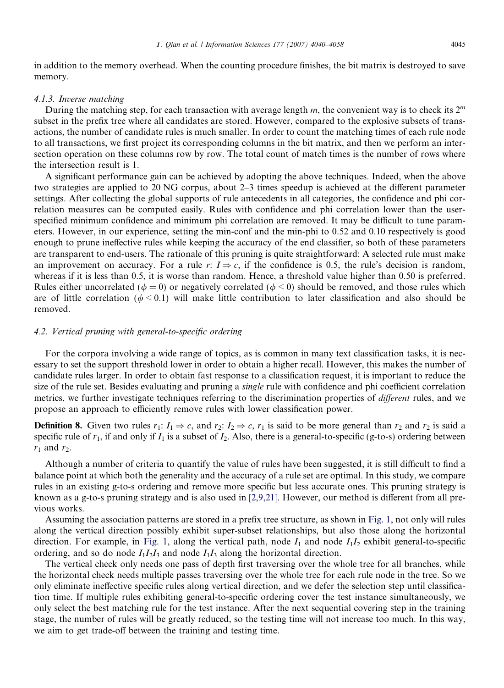in addition to the memory overhead. When the counting procedure finishes, the bit matrix is destroyed to save memory.

## 4.1.3. Inverse matching

During the matching step, for each transaction with average length m, the convenient way is to check its  $2^m$ subset in the prefix tree where all candidates are stored. However, compared to the explosive subsets of transactions, the number of candidate rules is much smaller. In order to count the matching times of each rule node to all transactions, we first project its corresponding columns in the bit matrix, and then we perform an intersection operation on these columns row by row. The total count of match times is the number of rows where the intersection result is 1.

A significant performance gain can be achieved by adopting the above techniques. Indeed, when the above two strategies are applied to 20 NG corpus, about 2–3 times speedup is achieved at the different parameter settings. After collecting the global supports of rule antecedents in all categories, the confidence and phi correlation measures can be computed easily. Rules with confidence and phi correlation lower than the userspecified minimum confidence and minimum phi correlation are removed. It may be difficult to tune parameters. However, in our experience, setting the min-conf and the min-phi to 0.52 and 0.10 respectively is good enough to prune ineffective rules while keeping the accuracy of the end classifier, so both of these parameters are transparent to end-users. The rationale of this pruning is quite straightforward: A selected rule must make an improvement on accuracy. For a rule r:  $I \Rightarrow c$ , if the confidence is 0.5, the rule's decision is random, whereas if it is less than 0.5, it is worse than random. Hence, a threshold value higher than 0.50 is preferred. Rules either uncorrelated ( $\phi = 0$ ) or negatively correlated ( $\phi < 0$ ) should be removed, and those rules which are of little correlation ( $\phi$  < 0.1) will make little contribution to later classification and also should be removed.

# 4.2. Vertical pruning with general-to-specific ordering

For the corpora involving a wide range of topics, as is common in many text classification tasks, it is necessary to set the support threshold lower in order to obtain a higher recall. However, this makes the number of candidate rules larger. In order to obtain fast response to a classification request, it is important to reduce the size of the rule set. Besides evaluating and pruning a *single* rule with confidence and phi coefficient correlation metrics, we further investigate techniques referring to the discrimination properties of different rules, and we propose an approach to efficiently remove rules with lower classification power.

**Definition 8.** Given two rules  $r_1: I_1 \Rightarrow c$ , and  $r_2: I_2 \Rightarrow c$ ,  $r_1$  is said to be more general than  $r_2$  and  $r_2$  is said a specific rule of  $r_1$ , if and only if  $I_1$  is a subset of  $I_2$ . Also, there is a general-to-specific (g-to-s) ordering between  $r_1$  and  $r_2$ .

Although a number of criteria to quantify the value of rules have been suggested, it is still difficult to find a balance point at which both the generality and the accuracy of a rule set are optimal. In this study, we compare rules in an existing g-to-s ordering and remove more specific but less accurate ones. This pruning strategy is known as a g-to-s pruning strategy and is also used in [\[2,9,21\].](#page-17-0) However, our method is different from all previous works.

Assuming the association patterns are stored in a prefix tree structure, as shown in [Fig. 1](#page-6-0), not only will rules along the vertical direction possibly exhibit super-subset relationships, but also those along the horizontal direction. For example, in [Fig. 1,](#page-6-0) along the vertical path, node  $I_1$  and node  $I_1I_2$  exhibit general-to-specific ordering, and so do node  $I_1I_2I_3$  and node  $I_1I_3$  along the horizontal direction.

The vertical check only needs one pass of depth first traversing over the whole tree for all branches, while the horizontal check needs multiple passes traversing over the whole tree for each rule node in the tree. So we only eliminate ineffective specific rules along vertical direction, and we defer the selection step until classification time. If multiple rules exhibiting general-to-specific ordering cover the test instance simultaneously, we only select the best matching rule for the test instance. After the next sequential covering step in the training stage, the number of rules will be greatly reduced, so the testing time will not increase too much. In this way, we aim to get trade-off between the training and testing time.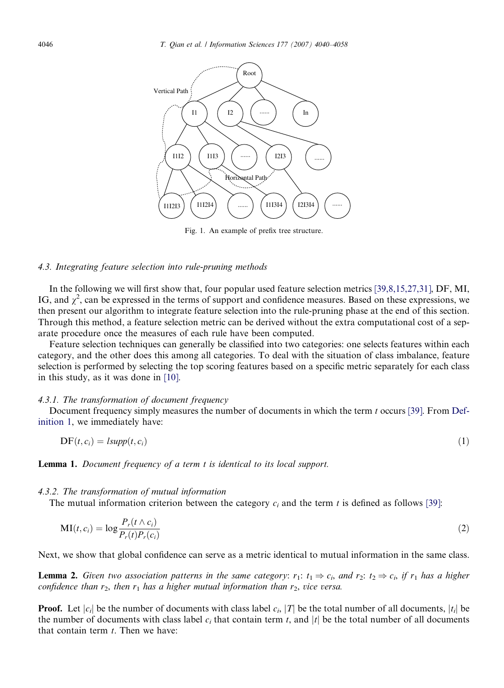<span id="page-6-0"></span>

Fig. 1. An example of prefix tree structure.

## 4.3. Integrating feature selection into rule-pruning methods

In the following we will first show that, four popular used feature selection metrics [\[39,8,15,27,31\],](#page-18-0) DF, MI, IG, and  $\chi^2$ , can be expressed in the terms of support and confidence measures. Based on these expressions, we then present our algorithm to integrate feature selection into the rule-pruning phase at the end of this section. Through this method, a feature selection metric can be derived without the extra computational cost of a separate procedure once the measures of each rule have been computed.

Feature selection techniques can generally be classified into two categories: one selects features within each category, and the other does this among all categories. To deal with the situation of class imbalance, feature selection is performed by selecting the top scoring features based on a specific metric separately for each class in this study, as it was done in [\[10\].](#page-18-0)

## 4.3.1. The transformation of document frequency

Document frequency simply measures the number of documents in which the term t occurs [\[39\]](#page-18-0). From [Def](#page-2-0)[inition 1](#page-2-0), we immediately have:

$$
DF(t, c_i) = lsupp(t, c_i)
$$
\n<sup>(1)</sup>

Lemma 1. Document frequency of a term t is identical to its local support.

## 4.3.2. The transformation of mutual information

The mutual information criterion between the category  $c_i$  and the term t is defined as follows [\[39\]:](#page-18-0)

$$
\mathbf{MI}(t, c_i) = \log \frac{P_r(t \wedge c_i)}{P_r(t)P_r(c_i)}\tag{2}
$$

Next, we show that global confidence can serve as a metric identical to mutual information in the same class.

**Lemma 2.** Given two association patterns in the same category:  $r_1$ :  $t_1 \Rightarrow c_i$ , and  $r_2$ :  $t_2 \Rightarrow c_i$ , if  $r_1$  has a higher confidence than  $r_2$ , then  $r_1$  has a higher mutual information than  $r_2$ , vice versa.

**Proof.** Let  $|c_i|$  be the number of documents with class label  $c_i$ ,  $|T|$  be the total number of all documents,  $|t_i|$  be the number of documents with class label  $c_i$  that contain term t, and |t| be the total number of all documents that contain term  $t$ . Then we have: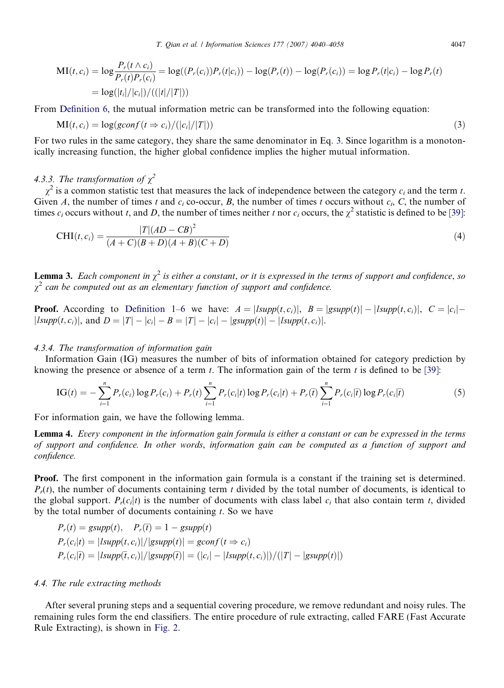$$
MI(t, c_i) = \log \frac{P_r(t \wedge c_i)}{P_r(t)P_r(c_i)} = \log((P_r(c_i))P_r(t|c_i)) - \log(P_r(t)) - \log(P_r(c_i)) = \log P_r(t|c_i) - \log P_r(t)
$$
  
= 
$$
\log(|t_i|/|c_i|)/((|t|/|T|))
$$

From [Definition 6](#page-3-0), the mutual information metric can be transformed into the following equation:

$$
MI(t, c_i) = \log(gconf(t \Rightarrow c_i) / (|c_i|/|T|))
$$
\n(3)

For two rules in the same category, they share the same denominator in Eq. 3. Since logarithm is a monotonically increasing function, the higher global confidence implies the higher mutual information.

# 4.3.3. The transformation of  $\chi^2$

 $\gamma^2$  is a common statistic test that measures the lack of independence between the category c<sub>i</sub> and the term t. Given A, the number of times t and  $c_i$  co-occur, B, the number of times t occurs without  $c_i$ , C, the number of times  $c_i$  occurs without t, and D, the number of times neither t nor  $c_i$  occurs, the  $\chi^2$  statistic is defined to be [\[39\]](#page-18-0):

$$
CHI(t, c_i) = \frac{|T|(AD - CB)^2}{(A+C)(B+D)(A+B)(C+D)}
$$
\n(4)

**Lemma 3.** Each component in  $\chi^2$  is either a constant, or it is expressed in the terms of support and confidence, so  $\chi^2$  can be computed out as an elementary function of support and confidence.

**Proof.** According to [Definition 1–6](#page-2-0) we have:  $A = | \text{Isupp}(t, c_i) |$ ,  $B = | \text{gsupp}(t) | - | \text{Isupp}(t, c_i) |$ ,  $C = |c_i|$  $|Isupp(t, c_i)|$ , and  $D = |T| - |c_i| - B = |T| - |c_i| - |g supp(t)| - |I supp(t, c_i)|$ .

### 4.3.4. The transformation of information gain

Information Gain (IG) measures the number of bits of information obtained for category prediction by knowing the presence or absence of a term  $t$ . The information gain of the term  $t$  is defined to be [\[39\]:](#page-18-0)

$$
IG(t) = -\sum_{i=1}^{n} P_r(c_i) \log P_r(c_i) + P_r(t) \sum_{i=1}^{n} P_r(c_i|t) \log P_r(c_i|t) + P_r(\bar{t}) \sum_{i=1}^{n} P_r(c_i|\bar{t}) \log P_r(c_i|\bar{t})
$$
(5)

For information gain, we have the following lemma.

Lemma 4. Every component in the information gain formula is either a constant or can be expressed in the terms of support and confidence. In other words, information gain can be computed as a function of support and confidence.

Proof. The first component in the information gain formula is a constant if the training set is determined.  $P<sub>r</sub>(t)$ , the number of documents containing term t divided by the total number of documents, is identical to the global support.  $P_r(c_i|t)$  is the number of documents with class label  $c_i$  that also contain term t, divided by the total number of documents containing  $t$ . So we have

$$
P_r(t) = gsupp(t), \quad P_r(\bar{t}) = 1 - gsupp(t)
$$
  
\n
$$
P_r(c_i|t) = |Isupp(t, c_i)|/|gsupp(t)| = gconf(t \Rightarrow c_i)
$$
  
\n
$$
P_r(c_i|\bar{t}) = |Isupp(\bar{t}, c_i)|/|gsupp(\bar{t})| = (|c_i| - |Isupp(t, c_i)|)/(|T| - |gsupp(t)|))
$$

# 4.4. The rule extracting methods

After several pruning steps and a sequential covering procedure, we remove redundant and noisy rules. The remaining rules form the end classifiers. The entire procedure of rule extracting, called FARE (Fast Accurate Rule Extracting), is shown in [Fig. 2](#page-8-0).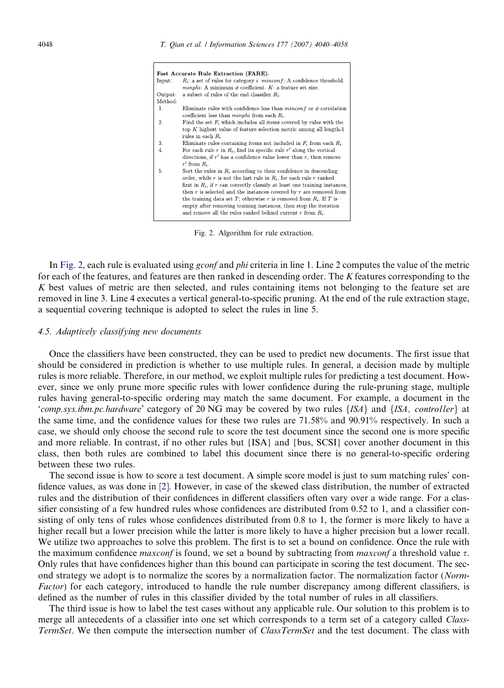<span id="page-8-0"></span>

|         | Fast Accurate Rule Extraction (FARE).                                                                                                                                                                                                                                                                                                                                                                                                                                                                                  |
|---------|------------------------------------------------------------------------------------------------------------------------------------------------------------------------------------------------------------------------------------------------------------------------------------------------------------------------------------------------------------------------------------------------------------------------------------------------------------------------------------------------------------------------|
| Input:  | $R_i$ : a set of rules for category <i>i. minconf</i> : A confidence threshold.<br><i>minphi</i> : A minimum $\phi$ coefficient. K: a feature set size.                                                                                                                                                                                                                                                                                                                                                                |
| Output: | a subset of rules of the end classifier $R_i$ .                                                                                                                                                                                                                                                                                                                                                                                                                                                                        |
| Method: |                                                                                                                                                                                                                                                                                                                                                                                                                                                                                                                        |
| 1.      | Eliminate rules with confidence less than <i>minconf</i> or $\phi$ correlation<br>coefficient less than <i>minphi</i> from each $R_i$ .                                                                                                                                                                                                                                                                                                                                                                                |
| 2.      | Find the set $F_i$ which includes all items covered by rules with the<br>top $K$ highest value of feature selection metric among all length-1<br>rules in each $R_i$                                                                                                                                                                                                                                                                                                                                                   |
| 3.      | Eliminate rules containing items not included in $F_i$ from each $R_i$ .                                                                                                                                                                                                                                                                                                                                                                                                                                               |
| 4.      | For each rule r in $R_i$ , find its specific rule r' along the vertical                                                                                                                                                                                                                                                                                                                                                                                                                                                |
|         | directions, if $r'$ has a confidence value lower than $r$ , then remove<br>$r'$ from $R_i$ .                                                                                                                                                                                                                                                                                                                                                                                                                           |
| 5.      | Sort the rules in $R_i$ according to their confidence in descending<br>order, while r is not the last rule in $R_i$ , for each rule r ranked<br>first in $R_i$ , if r can correctly classify at least one training instances,<br>then $r$ is selected and the instances covered by $r$ are removed from<br>the training data set T; otherwise r is removed from $R_i$ . If T is<br>empty after removing training instances, then stop the iteration<br>and remove all the rules ranked behind current $r$ from $R_i$ . |
|         |                                                                                                                                                                                                                                                                                                                                                                                                                                                                                                                        |

Fig. 2. Algorithm for rule extraction.

In Fig. 2, each rule is evaluated using *gconf* and *phi* criteria in line 1. Line 2 computes the value of the metric for each of the features, and features are then ranked in descending order. The K features corresponding to the K best values of metric are then selected, and rules containing items not belonging to the feature set are removed in line 3. Line 4 executes a vertical general-to-specific pruning. At the end of the rule extraction stage, a sequential covering technique is adopted to select the rules in line 5.

#### 4.5. Adaptively classifying new documents

Once the classifiers have been constructed, they can be used to predict new documents. The first issue that should be considered in prediction is whether to use multiple rules. In general, a decision made by multiple rules is more reliable. Therefore, in our method, we exploit multiple rules for predicting a test document. However, since we only prune more specific rules with lower confidence during the rule-pruning stage, multiple rules having general-to-specific ordering may match the same document. For example, a document in the 'comp.sys.ibm.pc.hardware' category of 20 NG may be covered by two rules  $\{ISA\}$  and  $\{ISA, controller\}$  at the same time, and the confidence values for these two rules are 71.58% and 90.91% respectively. In such a case, we should only choose the second rule to score the test document since the second one is more specific and more reliable. In contrast, if no other rules but {ISA} and {bus, SCSI} cover another document in this class, then both rules are combined to label this document since there is no general-to-specific ordering between these two rules.

The second issue is how to score a test document. A simple score model is just to sum matching rules' confidence values, as was done in [\[2\]](#page-17-0). However, in case of the skewed class distribution, the number of extracted rules and the distribution of their confidences in different classifiers often vary over a wide range. For a classifier consisting of a few hundred rules whose confidences are distributed from 0.52 to 1, and a classifier consisting of only tens of rules whose confidences distributed from 0.8 to 1, the former is more likely to have a higher recall but a lower precision while the latter is more likely to have a higher precision but a lower recall. We utilize two approaches to solve this problem. The first is to set a bound on confidence. Once the rule with the maximum confidence *maxconf* is found, we set a bound by subtracting from *maxconf* a threshold value  $\tau$ . Only rules that have confidences higher than this bound can participate in scoring the test document. The second strategy we adopt is to normalize the scores by a normalization factor. The normalization factor (Norm-Factor) for each category, introduced to handle the rule number discrepancy among different classifiers, is defined as the number of rules in this classifier divided by the total number of rules in all classifiers.

The third issue is how to label the test cases without any applicable rule. Our solution to this problem is to merge all antecedents of a classifier into one set which corresponds to a term set of a category called Class-TermSet. We then compute the intersection number of *ClassTermSet* and the test document. The class with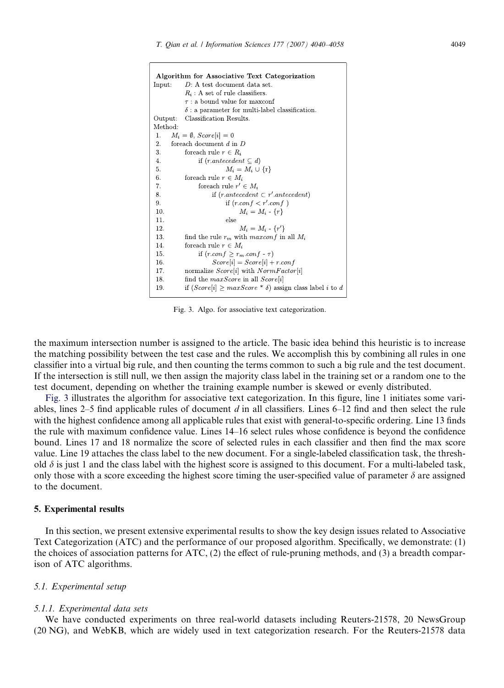```
Algorithm for Associative Text Categorization
            D: A test document data set.
Input:
            R_i: A set of rule classifiers.
            \tau: a bound value for maxconf
            \delta: a parameter for multi-label classification.
Output: Classification Results.
Method<sup>.</sup>
       M_i = \emptyset, Score[i] = 0
 \mathbf{1}.
\overline{2}for<br>each document d in {\cal D}\overline{3}.
            for<br>each rule r \in R_i\overline{4}if (r. antecedent \subseteq d)5.
                             M_i = M_i \cup \{r\}for<br>each rule r \in M_i\mathbf{6}\overline{7}for<br>each rule r' \in M_iif (r. antecedent \subset r'. antecedent)8.
 \alphaif (r.config < r'.conf)10.M_i = M_i - \{r\}11.
                             else
                                  M_i = M_i - \{r'\}12
 13.
            find the rule r_m with maxconf in all M_i14.
            for<br>each rule r \in M_i15.
                  if (r.config \geq r_m.config - \tau)Score[i] = Score[i] + r.config16
 17.
            normalize Score[i] with NormFactor[i]18.
            find the maxScore in all Score[i]if (Score[i] \geq maxScore * \delta) assign class label i to d
 19.
```
Fig. 3. Algo. for associative text categorization.

the maximum intersection number is assigned to the article. The basic idea behind this heuristic is to increase the matching possibility between the test case and the rules. We accomplish this by combining all rules in one classifier into a virtual big rule, and then counting the terms common to such a big rule and the test document. If the intersection is still null, we then assign the majority class label in the training set or a random one to the test document, depending on whether the training example number is skewed or evenly distributed.

Fig. 3 illustrates the algorithm for associative text categorization. In this figure, line 1 initiates some variables, lines  $2-5$  find applicable rules of document d in all classifiers. Lines  $6-12$  find and then select the rule with the highest confidence among all applicable rules that exist with general-to-specific ordering. Line 13 finds the rule with maximum confidence value. Lines 14–16 select rules whose confidence is beyond the confidence bound. Lines 17 and 18 normalize the score of selected rules in each classifier and then find the max score value. Line 19 attaches the class label to the new document. For a single-labeled classification task, the threshold  $\delta$  is just 1 and the class label with the highest score is assigned to this document. For a multi-labeled task, only those with a score exceeding the highest score timing the user-specified value of parameter  $\delta$  are assigned to the document.

#### 5. Experimental results

In this section, we present extensive experimental results to show the key design issues related to Associative Text Categorization (ATC) and the performance of our proposed algorithm. Specifically, we demonstrate: (1) the choices of association patterns for ATC, (2) the effect of rule-pruning methods, and (3) a breadth comparison of ATC algorithms.

## 5.1. Experimental setup

#### 5.1.1. Experimental data sets

We have conducted experiments on three real-world datasets including Reuters-21578, 20 NewsGroup (20 NG), and WebKB, which are widely used in text categorization research. For the Reuters-21578 data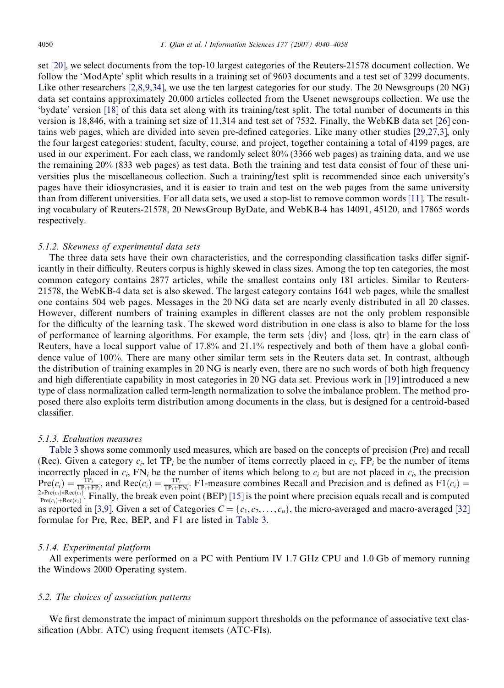set [\[20\],](#page-18-0) we select documents from the top-10 largest categories of the Reuters-21578 document collection. We follow the 'ModApte' split which results in a training set of 9603 documents and a test set of 3299 documents. Like other researchers [\[2,8,9,34\]](#page-17-0), we use the ten largest categories for our study. The 20 Newsgroups (20 NG) data set contains approximately 20,000 articles collected from the Usenet newsgroups collection. We use the 'bydate' version [\[18\]](#page-18-0) of this data set along with its training/test split. The total number of documents in this version is 18,846, with a training set size of 11,314 and test set of 7532. Finally, the WebKB data set [\[26\]](#page-18-0) contains web pages, which are divided into seven pre-defined categories. Like many other studies [\[29,27,3\],](#page-18-0) only the four largest categories: student, faculty, course, and project, together containing a total of 4199 pages, are used in our experiment. For each class, we randomly select 80% (3366 web pages) as training data, and we use the remaining 20% (833 web pages) as test data. Both the training and test data consist of four of these universities plus the miscellaneous collection. Such a training/test split is recommended since each university's pages have their idiosyncrasies, and it is easier to train and test on the web pages from the same university than from different universities. For all data sets, we used a stop-list to remove common words [\[11\].](#page-18-0) The resulting vocabulary of Reuters-21578, 20 NewsGroup ByDate, and WebKB-4 has 14091, 45120, and 17865 words respectively.

#### 5.1.2. Skewness of experimental data sets

The three data sets have their own characteristics, and the corresponding classification tasks differ significantly in their difficulty. Reuters corpus is highly skewed in class sizes. Among the top ten categories, the most common category contains 2877 articles, while the smallest contains only 181 articles. Similar to Reuters-21578, the WebKB-4 data set is also skewed. The largest category contains 1641 web pages, while the smallest one contains 504 web pages. Messages in the 20 NG data set are nearly evenly distributed in all 20 classes. However, different numbers of training examples in different classes are not the only problem responsible for the difficulty of the learning task. The skewed word distribution in one class is also to blame for the loss of performance of learning algorithms. For example, the term sets {div} and {loss, qtr} in the earn class of Reuters, have a local support value of 17.8% and 21.1% respectively and both of them have a global confidence value of 100%. There are many other similar term sets in the Reuters data set. In contrast, although the distribution of training examples in 20 NG is nearly even, there are no such words of both high frequency and high differentiate capability in most categories in 20 NG data set. Previous work in [\[19\]](#page-18-0) introduced a new type of class normalization called term-length normalization to solve the imbalance problem. The method proposed there also exploits term distribution among documents in the class, but is designed for a centroid-based classifier.

## 5.1.3. Evaluation measures

[Table 3](#page-11-0) shows some commonly used measures, which are based on the concepts of precision (Pre) and recall (Rec). Given a category  $c_i$ , let TP<sub>i</sub> be the number of items correctly placed in  $c_i$ , FP<sub>i</sub> be the number of items incorrectly placed in  $c_i$ , FN<sub>i</sub> be the number of items which belong to  $c_i$  but are not placed in  $c_i$ , the precision  $Pre(c_i) = \frac{TP_i}{TP_i+FP_i}$ , and  $Rec(c_i) = \frac{TP_i}{TP_i+FN_i}$ . F1-measure combines Recall and Precision and is defined as  $FI(c_i)$  $\frac{2*Pre(c_i)*Rec(c_i)}{Pre(c_i)+Rec(c_i)}$ . Finally, the break even point (BEP) [\[15\]](#page-18-0) is the point where precision equals recall and is computed as reported in [\[3,9\]](#page-17-0). Given a set of Categories  $C = \{c_1, c_2, \ldots, c_n\}$ , the micro-averaged and macro-averaged [\[32\]](#page-18-0) formulae for Pre, Rec, BEP, and F1 are listed in [Table 3.](#page-11-0)

#### 5.1.4. Experimental platform

All experiments were performed on a PC with Pentium IV 1.7 GHz CPU and 1.0 Gb of memory running the Windows 2000 Operating system.

#### 5.2. The choices of association patterns

We first demonstrate the impact of minimum support thresholds on the peformance of associative text classification (Abbr. ATC) using frequent itemsets (ATC-FIs).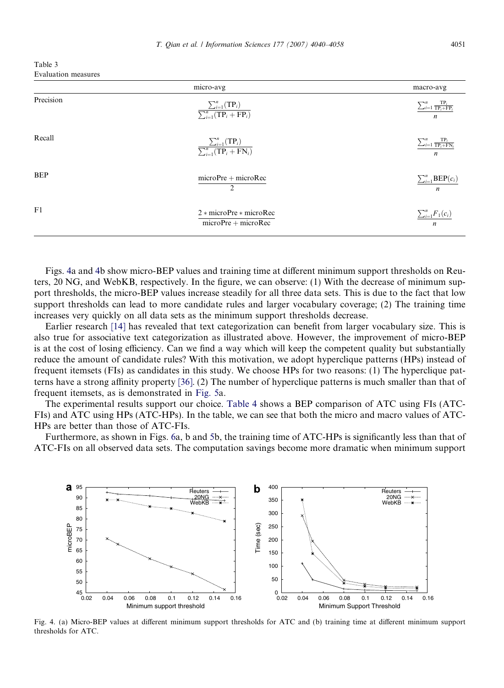<span id="page-11-0"></span>Table 3 Evaluation measures

|            | micro-avg                                                                       | macro-avg                                                                          |
|------------|---------------------------------------------------------------------------------|------------------------------------------------------------------------------------|
| Precision  | $\frac{\sum_{i=1}^{n}(\text{TP}_i)}{\sum_{i=1}^{n}(\text{TP}_i + \text{FP}_i)}$ | $\sum_{i=1}^n \frac{\text{TP}_i}{\text{TP}_i + \text{FP}_i}$<br>$\boldsymbol{n}$   |
| Recall     | $\frac{\sum_{i=1}^{n}(\text{TP}_i)}{\sum_{i=1}^{n}(\text{TP}_i + \text{FN}_i)}$ | $\sum_{i=1}^{n} \frac{\text{TP}_i}{\text{TP}_i + \text{FN}_i}$<br>$\boldsymbol{n}$ |
| <b>BEP</b> | $microPre + microRec$<br>$\overline{2}$                                         | $\sum_{i=1}^{n} \text{BEP}(c_i)$<br>$\boldsymbol{n}$                               |
| F1         | $2 * microPre * microRec$<br>$microPre + microRec$                              | $\sum_{i=1}^n F_1(c_i)$<br>$\boldsymbol{n}$                                        |

Figs. 4a and 4b show micro-BEP values and training time at different minimum support thresholds on Reuters, 20 NG, and WebKB, respectively. In the figure, we can observe: (1) With the decrease of minimum support thresholds, the micro-BEP values increase steadily for all three data sets. This is due to the fact that low support thresholds can lead to more candidate rules and larger vocabulary coverage; (2) The training time increases very quickly on all data sets as the minimum support thresholds decrease.

Earlier research [\[14\]](#page-18-0) has revealed that text categorization can benefit from larger vocabulary size. This is also true for associative text categorization as illustrated above. However, the improvement of micro-BEP is at the cost of losing efficiency. Can we find a way which will keep the competent quality but substantially reduce the amount of candidate rules? With this motivation, we adopt hyperclique patterns (HPs) instead of frequent itemsets (FIs) as candidates in this study. We choose HPs for two reasons: (1) The hyperclique patterns have a strong affinity property [\[36\].](#page-18-0) (2) The number of hyperclique patterns is much smaller than that of frequent itemsets, as is demonstrated in [Fig. 5a](#page-12-0).

The experimental results support our choice. [Table 4](#page-12-0) shows a BEP comparison of ATC using FIs (ATC-FIs) and ATC using HPs (ATC-HPs). In the table, we can see that both the micro and macro values of ATC-HPs are better than those of ATC-FIs.

Furthermore, as shown in Figs. [6a](#page-12-0), b and [5b](#page-12-0), the training time of ATC-HPs is significantly less than that of ATC-FIs on all observed data sets. The computation savings become more dramatic when minimum support



Fig. 4. (a) Micro-BEP values at different minimum support thresholds for ATC and (b) training time at different minimum support thresholds for ATC.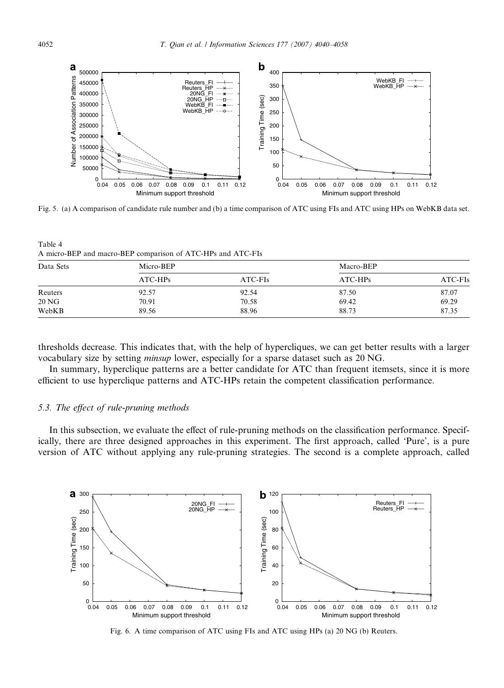<span id="page-12-0"></span>

Fig. 5. (a) A comparison of candidate rule number and (b) a time comparison of ATC using FIs and ATC using HPs on WebKB data set.

Table 4 A micro-BEP and macro-BEP comparison of ATC-HPs and ATC-FIs

| Data Sets | Micro-BEP |         | Macro-BEP |         |
|-----------|-----------|---------|-----------|---------|
|           | $ATC-HPs$ | ATC-FIs | $ATC-HPs$ | ATC-FIs |
| Reuters   | 92.57     | 92.54   | 87.50     | 87.07   |
| 20 NG     | 70.91     | 70.58   | 69.42     | 69.29   |
| WebKB     | 89.56     | 88.96   | 88.73     | 87.35   |

thresholds decrease. This indicates that, with the help of hypercliques, we can get better results with a larger vocabulary size by setting minsup lower, especially for a sparse dataset such as 20 NG.

In summary, hyperclique patterns are a better candidate for ATC than frequent itemsets, since it is more efficient to use hyperclique patterns and ATC-HPs retain the competent classification performance.

## 5.3. The effect of rule-pruning methods

In this subsection, we evaluate the effect of rule-pruning methods on the classification performance. Specifically, there are three designed approaches in this experiment. The first approach, called 'Pure', is a pure version of ATC without applying any rule-pruning strategies. The second is a complete approach, called



Fig. 6. A time comparison of ATC using FIs and ATC using HPs (a) 20 NG (b) Reuters.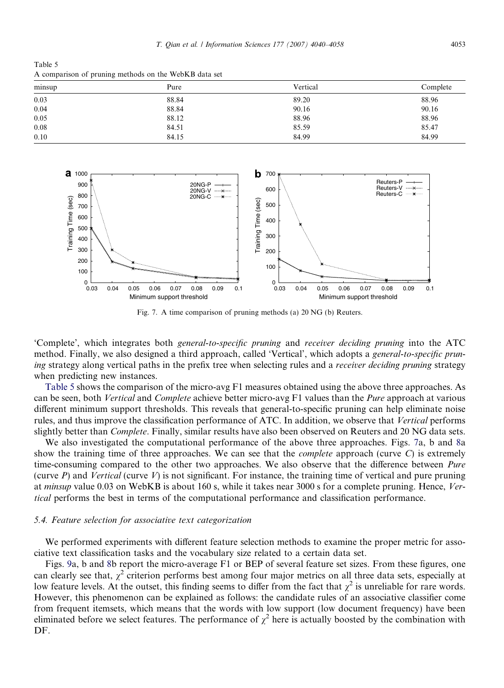Table 5 A comparison of pruning methods on the WebKB data set

| minsup | Pure  | Vertical | Complete |
|--------|-------|----------|----------|
| 0.03   | 88.84 | 89.20    | 88.96    |
| 0.04   | 88.84 | 90.16    | 90.16    |
| 0.05   | 88.12 | 88.96    | 88.96    |
| 0.08   | 84.51 | 85.59    | 85.47    |
| 0.10   | 84.15 | 84.99    | 84.99    |



Fig. 7. A time comparison of pruning methods (a) 20 NG (b) Reuters.

'Complete', which integrates both general-to-specific pruning and receiver deciding pruning into the ATC method. Finally, we also designed a third approach, called 'Vertical', which adopts a *general-to-specific prun*ing strategy along vertical paths in the prefix tree when selecting rules and a receiver deciding pruning strategy when predicting new instances.

Table 5 shows the comparison of the micro-avg F1 measures obtained using the above three approaches. As can be seen, both Vertical and Complete achieve better micro-avg F1 values than the Pure approach at various different minimum support thresholds. This reveals that general-to-specific pruning can help eliminate noise rules, and thus improve the classification performance of ATC. In addition, we observe that Vertical performs slightly better than *Complete*. Finally, similar results have also been observed on Reuters and 20 NG data sets.

We also investigated the computational performance of the above three approaches. Figs. 7a, b and [8](#page-14-0)a show the training time of three approaches. We can see that the *complete* approach (curve  $C$ ) is extremely time-consuming compared to the other two approaches. We also observe that the difference between *Pure* (curve  $P$ ) and Vertical (curve  $V$ ) is not significant. For instance, the training time of vertical and pure pruning at minsup value 0.03 on WebKB is about 160 s, while it takes near 3000 s for a complete pruning. Hence, Vertical performs the best in terms of the computational performance and classification performance.

#### 5.4. Feature selection for associative text categorization

We performed experiments with different feature selection methods to examine the proper metric for associative text classification tasks and the vocabulary size related to a certain data set.

Figs. [9a](#page-14-0), b and [8b](#page-14-0) report the micro-average F1 or BEP of several feature set sizes. From these figures, one can clearly see that,  $\chi^2$  criterion performs best among four major metrics on all three data sets, especially at low feature levels. At the outset, this finding seems to differ from the fact that  $\chi^2$  is unreliable for rare words. However, this phenomenon can be explained as follows: the candidate rules of an associative classifier come from frequent itemsets, which means that the words with low support (low document frequency) have been eliminated before we select features. The performance of  $\chi^2$  here is actually boosted by the combination with DF.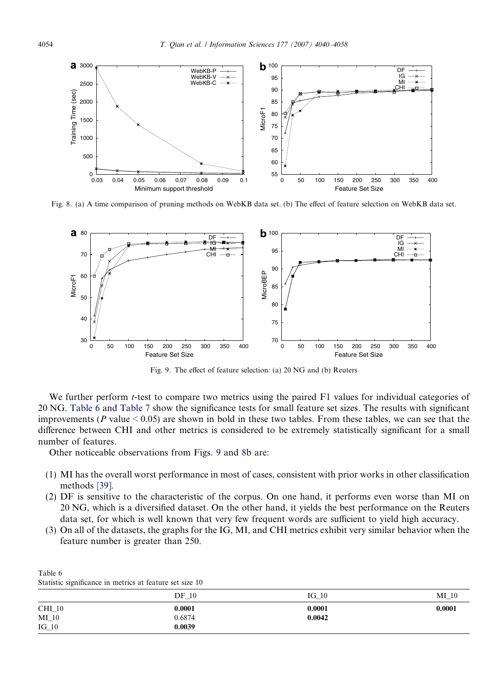<span id="page-14-0"></span>

Fig. 8. (a) A time comparison of pruning methods on WebKB data set. (b) The effect of feature selection on WebKB data set.



Fig. 9. The effect of feature selection: (a) 20 NG and (b) Reuters

We further perform *t*-test to compare two metrics using the paired F1 values for individual categories of 20 NG. Table 6 and [Table 7](#page-15-0) show the significance tests for small feature set sizes. The results with significant improvements ( $P$  value  $\leq 0.05$ ) are shown in bold in these two tables. From these tables, we can see that the difference between CHI and other metrics is considered to be extremely statistically significant for a small number of features.

Other noticeable observations from Figs. 9 and 8b are:

- (1) MI has the overall worst performance in most of cases, consistent with prior works in other classification methods [\[39\]](#page-18-0).
- (2) DF is sensitive to the characteristic of the corpus. On one hand, it performs even worse than MI on 20 NG, which is a diversified dataset. On the other hand, it yields the best performance on the Reuters data set, for which is well known that very few frequent words are sufficient to yield high accuracy.
- (3) On all of the datasets, the graphs for the IG, MI, and CHI metrics exhibit very similar behavior when the feature number is greater than 250.

| $DF_10$ | $IG_10$ | $MI_10$ |
|---------|---------|---------|
| 0.0001  | 0.0001  | 0.0001  |
| 0.6874  | 0.0042  |         |
| 0.0039  |         |         |
|         |         |         |

Statistic significance in metrics at feature set size 10

Table 6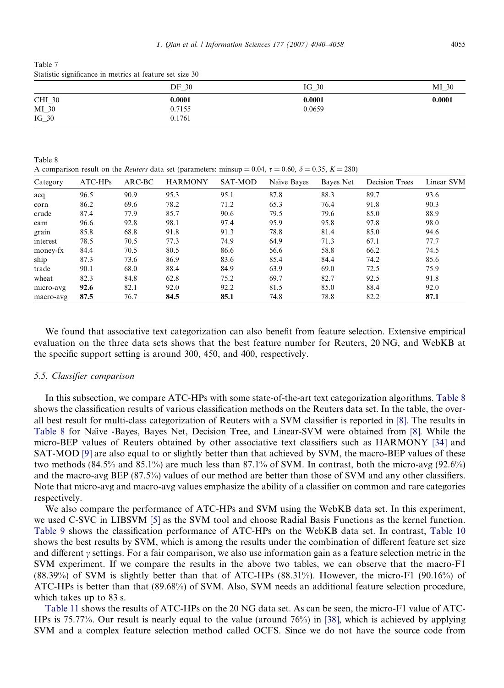<span id="page-15-0"></span>Table 7 Statistic significance in metrics at feature set size 30

|         | $DF_30$ | $IG_30$ | MI 30  |
|---------|---------|---------|--------|
| CHI_30  | 0.0001  | 0.0001  | 0.0001 |
| $MI_30$ | 0.7155  | 0.0659  |        |
| $IG_30$ | 0.1761  |         |        |

Table 8 A comparison result on the *Reuters* data set (parameters: minsup = 0.04,  $\tau$  = 0.60,  $\delta$  = 0.35, K = 280)

| Category  | $ATC-HPs$ | $ARC-BC$ | <b>HARMONY</b> | SAT-MOD | Naïve Bayes | Bayes Net | <b>Decision Trees</b> | Linear SVM |
|-----------|-----------|----------|----------------|---------|-------------|-----------|-----------------------|------------|
| acq       | 96.5      | 90.9     | 95.3           | 95.1    | 87.8        | 88.3      | 89.7                  | 93.6       |
| corn      | 86.2      | 69.6     | 78.2           | 71.2    | 65.3        | 76.4      | 91.8                  | 90.3       |
| crude     | 87.4      | 77.9     | 85.7           | 90.6    | 79.5        | 79.6      | 85.0                  | 88.9       |
| earn      | 96.6      | 92.8     | 98.1           | 97.4    | 95.9        | 95.8      | 97.8                  | 98.0       |
| grain     | 85.8      | 68.8     | 91.8           | 91.3    | 78.8        | 81.4      | 85.0                  | 94.6       |
| interest  | 78.5      | 70.5     | 77.3           | 74.9    | 64.9        | 71.3      | 67.1                  | 77.7       |
| money-fx  | 84.4      | 70.5     | 80.5           | 86.6    | 56.6        | 58.8      | 66.2                  | 74.5       |
| ship      | 87.3      | 73.6     | 86.9           | 83.6    | 85.4        | 84.4      | 74.2                  | 85.6       |
| trade     | 90.1      | 68.0     | 88.4           | 84.9    | 63.9        | 69.0      | 72.5                  | 75.9       |
| wheat     | 82.3      | 84.8     | 62.8           | 75.2    | 69.7        | 82.7      | 92.5                  | 91.8       |
| micro-avg | 92.6      | 82.1     | 92.0           | 92.2    | 81.5        | 85.0      | 88.4                  | 92.0       |
| macro-avg | 87.5      | 76.7     | 84.5           | 85.1    | 74.8        | 78.8      | 82.2                  | 87.1       |

We found that associative text categorization can also benefit from feature selection. Extensive empirical evaluation on the three data sets shows that the best feature number for Reuters, 20 NG, and WebKB at the specific support setting is around 300, 450, and 400, respectively.

## 5.5. Classifier comparison

In this subsection, we compare ATC-HPs with some state-of-the-art text categorization algorithms. Table 8 shows the classification results of various classification methods on the Reuters data set. In the table, the overall best result for multi-class categorization of Reuters with a SVM classifier is reported in [\[8\].](#page-18-0) The results in Table 8 for Naı̈ve -Bayes, Bayes Net, Decision Tree, and Linear-SVM were obtained from [\[8\].](#page-18-0) While the micro-BEP values of Reuters obtained by other associative text classifiers such as HARMONY [\[34\]](#page-18-0) and SAT-MOD [\[9\]](#page-18-0) are also equal to or slightly better than that achieved by SVM, the macro-BEP values of these two methods (84.5% and 85.1%) are much less than 87.1% of SVM. In contrast, both the micro-avg (92.6%) and the macro-avg BEP (87.5%) values of our method are better than those of SVM and any other classifiers. Note that micro-avg and macro-avg values emphasize the ability of a classifier on common and rare categories respectively.

We also compare the performance of ATC-HPs and SVM using the WebKB data set. In this experiment, we used C-SVC in LIBSVM [\[5\]](#page-17-0) as the SVM tool and choose Radial Basis Functions as the kernel function. [Table 9](#page-16-0) shows the classification performance of ATC-HPs on the WebKB data set. In contrast, [Table 10](#page-16-0) shows the best results by SVM, which is among the results under the combination of different feature set size and different  $\gamma$  settings. For a fair comparison, we also use information gain as a feature selection metric in the SVM experiment. If we compare the results in the above two tables, we can observe that the macro-F1 (88.39%) of SVM is slightly better than that of ATC-HPs (88.31%). However, the micro-F1 (90.16%) of ATC-HPs is better than that (89.68%) of SVM. Also, SVM needs an additional feature selection procedure, which takes up to 83 s.

[Table 11](#page-16-0) shows the results of ATC-HPs on the 20 NG data set. As can be seen, the micro-F1 value of ATC-HPs is 75.77%. Our result is nearly equal to the value (around 76%) in [\[38\]](#page-18-0), which is achieved by applying SVM and a complex feature selection method called OCFS. Since we do not have the source code from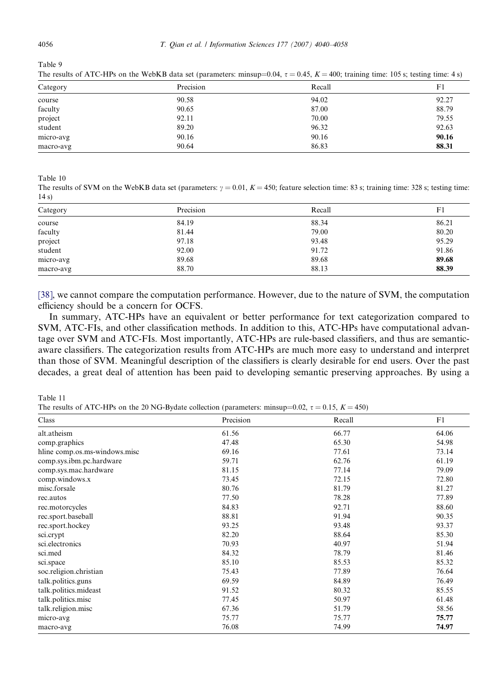<span id="page-16-0"></span>

Table 9 The results of ATC-HPs on the WebKB data set (parameters: minsup=0.04,  $\tau = 0.45$ ,  $K = 400$ ; training time: 105 s; testing time: 4 s)

| Category  | Precision | Recall | F1    |
|-----------|-----------|--------|-------|
| course    | 90.58     | 94.02  | 92.27 |
| faculty   | 90.65     | 87.00  | 88.79 |
| project   | 92.11     | 70.00  | 79.55 |
| student   | 89.20     | 96.32  | 92.63 |
| micro-avg | 90.16     | 90.16  | 90.16 |
| macro-avg | 90.64     | 86.83  | 88.31 |

Table 10

The results of SVM on the WebKB data set (parameters:  $\gamma = 0.01$ ,  $K = 450$ ; feature selection time: 83 s; training time: 328 s; testing time: 14 s)

| Category  | Precision | Recall | F1    |
|-----------|-----------|--------|-------|
| course    | 84.19     | 88.34  | 86.21 |
| faculty   | 81.44     | 79.00  | 80.20 |
| project   | 97.18     | 93.48  | 95.29 |
| student   | 92.00     | 91.72  | 91.86 |
| micro-avg | 89.68     | 89.68  | 89.68 |
| macro-avg | 88.70     | 88.13  | 88.39 |

[\[38\],](#page-18-0) we cannot compare the computation performance. However, due to the nature of SVM, the computation efficiency should be a concern for OCFS.

In summary, ATC-HPs have an equivalent or better performance for text categorization compared to SVM, ATC-FIs, and other classification methods. In addition to this, ATC-HPs have computational advantage over SVM and ATC-FIs. Most importantly, ATC-HPs are rule-based classifiers, and thus are semanticaware classifiers. The categorization results from ATC-HPs are much more easy to understand and interpret than those of SVM. Meaningful description of the classifiers is clearly desirable for end users. Over the past decades, a great deal of attention has been paid to developing semantic preserving approaches. By using a

Table 11

The results of ATC-HPs on the 20 NG-Bydate collection (parameters: minsup=0.02,  $\tau = 0.15$ ,  $K = 450$ )

| Class                         | Precision | Recall | F1    |
|-------------------------------|-----------|--------|-------|
| alt.atheism                   | 61.56     | 66.77  | 64.06 |
| comp.graphics                 | 47.48     | 65.30  | 54.98 |
| hline comp.os.ms-windows.misc | 69.16     | 77.61  | 73.14 |
| comp.sys.ibm.pc.hardware      | 59.71     | 62.76  | 61.19 |
| comp.sys.mac.hardware         | 81.15     | 77.14  | 79.09 |
| comp.windows.x                | 73.45     | 72.15  | 72.80 |
| misc.forsale                  | 80.76     | 81.79  | 81.27 |
| rec.autos                     | 77.50     | 78.28  | 77.89 |
| rec.motorcycles               | 84.83     | 92.71  | 88.60 |
| rec.sport.baseball            | 88.81     | 91.94  | 90.35 |
| rec.sport.hockey              | 93.25     | 93.48  | 93.37 |
| sci.crypt                     | 82.20     | 88.64  | 85.30 |
| sci.electronics               | 70.93     | 40.97  | 51.94 |
| sci.med                       | 84.32     | 78.79  | 81.46 |
| sci.space                     | 85.10     | 85.53  | 85.32 |
| soc.religion.christian        | 75.43     | 77.89  | 76.64 |
| talk.politics.guns            | 69.59     | 84.89  | 76.49 |
| talk.politics.mideast         | 91.52     | 80.32  | 85.55 |
| talk.politics.misc            | 77.45     | 50.97  | 61.48 |
| talk.religion.misc            | 67.36     | 51.79  | 58.56 |
| micro-avg                     | 75.77     | 75.77  | 75.77 |
| macro-avg                     | 76.08     | 74.99  | 74.97 |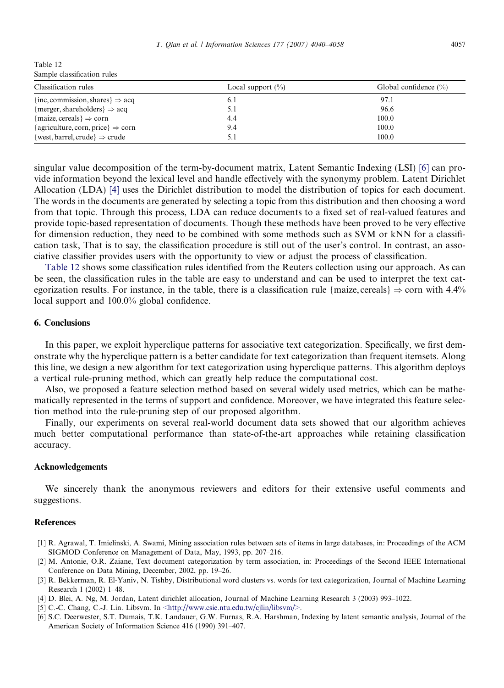<span id="page-17-0"></span>Table 12 Sample classification rules

| Classification rules                          | Local support $(\% )$ | Global confidence $(\%)$ |
|-----------------------------------------------|-----------------------|--------------------------|
| {inc, commission, shares} $\Rightarrow$ acq   | 6.1                   | 97.1                     |
| {merger, shareholders} $\Rightarrow$ acq      | 5.1                   | 96.6                     |
| {maize, cereals} $\Rightarrow$ corn           | 4.4                   | 100.0                    |
| {agriculture, corn, price} $\Rightarrow$ corn | 9.4                   | 100.0                    |
| {west, barrel, crude} $\Rightarrow$ crude     | 5.1                   | 100.0                    |

singular value decomposition of the term-by-document matrix, Latent Semantic Indexing (LSI) [6] can provide information beyond the lexical level and handle effectively with the synonymy problem. Latent Dirichlet Allocation (LDA) [4] uses the Dirichlet distribution to model the distribution of topics for each document. The words in the documents are generated by selecting a topic from this distribution and then choosing a word from that topic. Through this process, LDA can reduce documents to a fixed set of real-valued features and provide topic-based representation of documents. Though these methods have been proved to be very effective for dimension reduction, they need to be combined with some methods such as SVM or kNN for a classification task, That is to say, the classification procedure is still out of the user's control. In contrast, an associative classifier provides users with the opportunity to view or adjust the process of classification.

Table 12 shows some classification rules identified from the Reuters collection using our approach. As can be seen, the classification rules in the table are easy to understand and can be used to interpret the text categorization results. For instance, in the table, there is a classification rule {maize, cereals}  $\Rightarrow$  corn with 4.4% local support and 100.0% global confidence.

# 6. Conclusions

In this paper, we exploit hyperclique patterns for associative text categorization. Specifically, we first demonstrate why the hyperclique pattern is a better candidate for text categorization than frequent itemsets. Along this line, we design a new algorithm for text categorization using hyperclique patterns. This algorithm deploys a vertical rule-pruning method, which can greatly help reduce the computational cost.

Also, we proposed a feature selection method based on several widely used metrics, which can be mathematically represented in the terms of support and confidence. Moreover, we have integrated this feature selection method into the rule-pruning step of our proposed algorithm.

Finally, our experiments on several real-world document data sets showed that our algorithm achieves much better computational performance than state-of-the-art approaches while retaining classification accuracy.

#### Acknowledgements

We sincerely thank the anonymous reviewers and editors for their extensive useful comments and suggestions.

#### References

- [1] R. Agrawal, T. Imielinski, A. Swami, Mining association rules between sets of items in large databases, in: Proceedings of the ACM SIGMOD Conference on Management of Data, May, 1993, pp. 207–216.
- [2] M. Antonie, O.R. Zaiane, Text document categorization by term association, in: Proceedings of the Second IEEE International Conference on Data Mining, December, 2002, pp. 19–26.
- [3] R. Bekkerman, R. El-Yaniv, N. Tishby, Distributional word clusters vs. words for text categorization, Journal of Machine Learning Research 1 (2002) 1–48.
- [4] D. Blei, A. Ng, M. Jordan, Latent dirichlet allocation, Journal of Machine Learning Research 3 (2003) 993–1022.
- [5] C.-C. Chang, C.-J. Lin. Libsvm. In  $\langle \text{http://www.csie.ntu.edu.tw/cjlin/libsum/\rangle}$ .
- [6] S.C. Deerwester, S.T. Dumais, T.K. Landauer, G.W. Furnas, R.A. Harshman, Indexing by latent semantic analysis, Journal of the American Society of Information Science 416 (1990) 391–407.